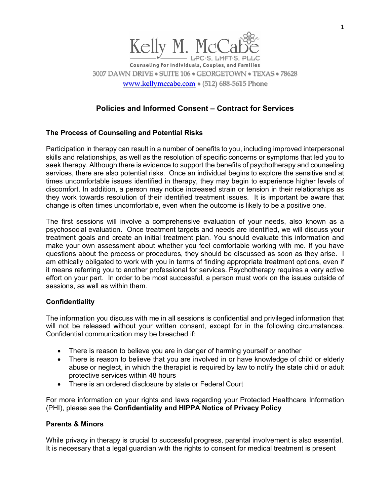

# **Policies and Informed Consent – Contract for Services**

## **The Process of Counseling and Potential Risks**

Participation in therapy can result in a number of benefits to you, including improved interpersonal skills and relationships, as well as the resolution of specific concerns or symptoms that led you to seek therapy. Although there is evidence to support the benefits of psychotherapy and counseling services, there are also potential risks. Once an individual begins to explore the sensitive and at times uncomfortable issues identified in therapy, they may begin to experience higher levels of discomfort. In addition, a person may notice increased strain or tension in their relationships as they work towards resolution of their identified treatment issues. It is important be aware that change is often times uncomfortable, even when the outcome is likely to be a positive one.

The first sessions will involve a comprehensive evaluation of your needs, also known as a psychosocial evaluation. Once treatment targets and needs are identified, we will discuss your treatment goals and create an initial treatment plan. You should evaluate this information and make your own assessment about whether you feel comfortable working with me. If you have questions about the process or procedures, they should be discussed as soon as they arise. I am ethically obligated to work with you in terms of finding appropriate treatment options, even if it means referring you to another professional for services. Psychotherapy requires a very active effort on your part. In order to be most successful, a person must work on the issues outside of sessions, as well as within them.

### **Confidentiality**

The information you discuss with me in all sessions is confidential and privileged information that will not be released without your written consent, except for in the following circumstances. Confidential communication may be breached if:

- There is reason to believe you are in danger of harming yourself or another
- There is reason to believe that you are involved in or have knowledge of child or elderly abuse or neglect, in which the therapist is required by law to notify the state child or adult protective services within 48 hours
- There is an ordered disclosure by state or Federal Court

For more information on your rights and laws regarding your Protected Healthcare Information (PHI), please see the **Confidentiality and HIPPA Notice of Privacy Policy**

### **Parents & Minors**

While privacy in therapy is crucial to successful progress, parental involvement is also essential. It is necessary that a legal guardian with the rights to consent for medical treatment is present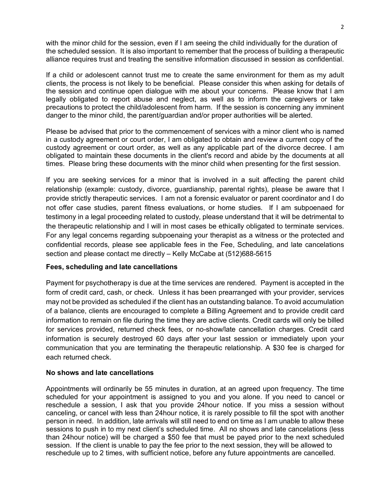with the minor child for the session, even if I am seeing the child individually for the duration of the scheduled session. It is also important to remember that the process of building a therapeutic alliance requires trust and treating the sensitive information discussed in session as confidential.

If a child or adolescent cannot trust me to create the same environment for them as my adult clients, the process is not likely to be beneficial. Please consider this when asking for details of the session and continue open dialogue with me about your concerns. Please know that I am legally obligated to report abuse and neglect, as well as to inform the caregivers or take precautions to protect the child/adolescent from harm. If the session is concerning any imminent danger to the minor child, the parent/guardian and/or proper authorities will be alerted.

Please be advised that prior to the commencement of services with a minor client who is named in a custody agreement or court order, I am obligated to obtain and review a current copy of the custody agreement or court order, as well as any applicable part of the divorce decree. I am obligated to maintain these documents in the client's record and abide by the documents at all times. Please bring these documents with the minor child when presenting for the first session.

If you are seeking services for a minor that is involved in a suit affecting the parent child relationship (example: custody, divorce, guardianship, parental rights), please be aware that I provide strictly therapeutic services. I am not a forensic evaluator or parent coordinator and I do not offer case studies, parent fitness evaluations, or home studies. If I am subpoenaed for testimony in a legal proceeding related to custody, please understand that it will be detrimental to the therapeutic relationship and I will in most cases be ethically obligated to terminate services. For any legal concerns regarding subpoenaing your therapist as a witness or the protected and confidential records, please see applicable fees in the Fee, Scheduling, and late cancelations section and please contact me directly – Kelly McCabe at (512)688-5615

### **Fees, scheduling and late cancellations**

Payment for psychotherapy is due at the time services are rendered. Payment is accepted in the form of credit card, cash, or check. Unless it has been prearranged with your provider, services may not be provided as scheduled if the client has an outstanding balance. To avoid accumulation of a balance, clients are encouraged to complete a Billing Agreement and to provide credit card information to remain on file during the time they are active clients. Credit cards will only be billed for services provided, returned check fees, or no-show/late cancellation charges. Credit card information is securely destroyed 60 days after your last session or immediately upon your communication that you are terminating the therapeutic relationship. A \$30 fee is charged for each returned check.

### **No shows and late cancellations**

Appointments will ordinarily be 55 minutes in duration, at an agreed upon frequency. The time scheduled for your appointment is assigned to you and you alone. If you need to cancel or reschedule a session, I ask that you provide 24hour notice. If you miss a session without canceling, or cancel with less than 24hour notice, it is rarely possible to fill the spot with another person in need. In addition, late arrivals will still need to end on time as I am unable to allow these sessions to push in to my next client's scheduled time. All no shows and late cancelations (less than 24hour notice) will be charged a \$50 fee that must be payed prior to the next scheduled session. If the client is unable to pay the fee prior to the next session, they will be allowed to reschedule up to 2 times, with sufficient notice, before any future appointments are cancelled.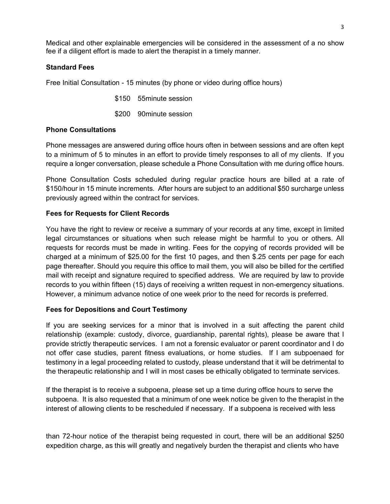Medical and other explainable emergencies will be considered in the assessment of a no show fee if a diligent effort is made to alert the therapist in a timely manner.

### **Standard Fees**

Free Initial Consultation - 15 minutes (by phone or video during office hours)

\$150 55minute session

\$200 90minute session

## **Phone Consultations**

Phone messages are answered during office hours often in between sessions and are often kept to a minimum of 5 to minutes in an effort to provide timely responses to all of my clients. If you require a longer conversation, please schedule a Phone Consultation with me during office hours.

Phone Consultation Costs scheduled during regular practice hours are billed at a rate of \$150/hour in 15 minute increments. After hours are subject to an additional \$50 surcharge unless previously agreed within the contract for services.

### **Fees for Requests for Client Records**

You have the right to review or receive a summary of your records at any time, except in limited legal circumstances or situations when such release might be harmful to you or others. All requests for records must be made in writing. Fees for the copying of records provided will be charged at a minimum of \$25.00 for the first 10 pages, and then \$.25 cents per page for each page thereafter. Should you require this office to mail them, you will also be billed for the certified mail with receipt and signature required to specified address. We are required by law to provide records to you within fifteen (15) days of receiving a written request in non-emergency situations. However, a minimum advance notice of one week prior to the need for records is preferred.

### **Fees for Depositions and Court Testimony**

If you are seeking services for a minor that is involved in a suit affecting the parent child relationship (example: custody, divorce, guardianship, parental rights), please be aware that I provide strictly therapeutic services. I am not a forensic evaluator or parent coordinator and I do not offer case studies, parent fitness evaluations, or home studies. If I am subpoenaed for testimony in a legal proceeding related to custody, please understand that it will be detrimental to the therapeutic relationship and I will in most cases be ethically obligated to terminate services.

If the therapist is to receive a subpoena, please set up a time during office hours to serve the subpoena. It is also requested that a minimum of one week notice be given to the therapist in the interest of allowing clients to be rescheduled if necessary. If a subpoena is received with less

than 72-hour notice of the therapist being requested in court, there will be an additional \$250 expedition charge, as this will greatly and negatively burden the therapist and clients who have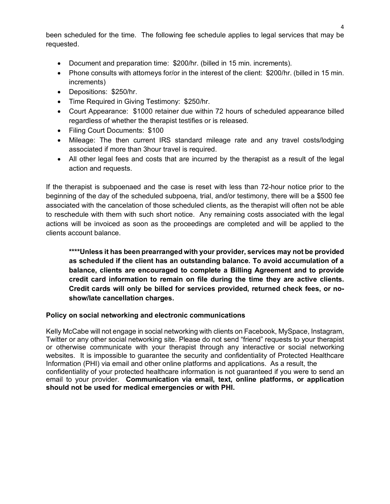been scheduled for the time. The following fee schedule applies to legal services that may be requested.

- Document and preparation time: \$200/hr. (billed in 15 min. increments).
- Phone consults with attorneys for/or in the interest of the client: \$200/hr. (billed in 15 min. increments)
- Depositions: \$250/hr.
- Time Required in Giving Testimony: \$250/hr.
- Court Appearance: \$1000 retainer due within 72 hours of scheduled appearance billed regardless of whether the therapist testifies or is released.
- Filing Court Documents: \$100
- Mileage: The then current IRS standard mileage rate and any travel costs/lodging associated if more than 3hour travel is required.
- All other legal fees and costs that are incurred by the therapist as a result of the legal action and requests.

If the therapist is subpoenaed and the case is reset with less than 72-hour notice prior to the beginning of the day of the scheduled subpoena, trial, and/or testimony, there will be a \$500 fee associated with the cancelation of those scheduled clients, as the therapist will often not be able to reschedule with them with such short notice. Any remaining costs associated with the legal actions will be invoiced as soon as the proceedings are completed and will be applied to the clients account balance.

**\*\*\*\*Unless it has been prearranged with your provider, services may not be provided as scheduled if the client has an outstanding balance. To avoid accumulation of a balance, clients are encouraged to complete a Billing Agreement and to provide credit card information to remain on file during the time they are active clients. Credit cards will only be billed for services provided, returned check fees, or noshow/late cancellation charges.**

## **Policy on social networking and electronic communications**

Kelly McCabe will not engage in social networking with clients on Facebook, MySpace, Instagram, Twitter or any other social networking site. Please do not send "friend" requests to your therapist or otherwise communicate with your therapist through any interactive or social networking websites. It is impossible to guarantee the security and confidentiality of Protected Healthcare Information (PHI) via email and other online platforms and applications. As a result, the confidentiality of your protected healthcare information is not guaranteed if you were to send an email to your provider. **Communication via email, text, online platforms, or application should not be used for medical emergencies or with PHI.**